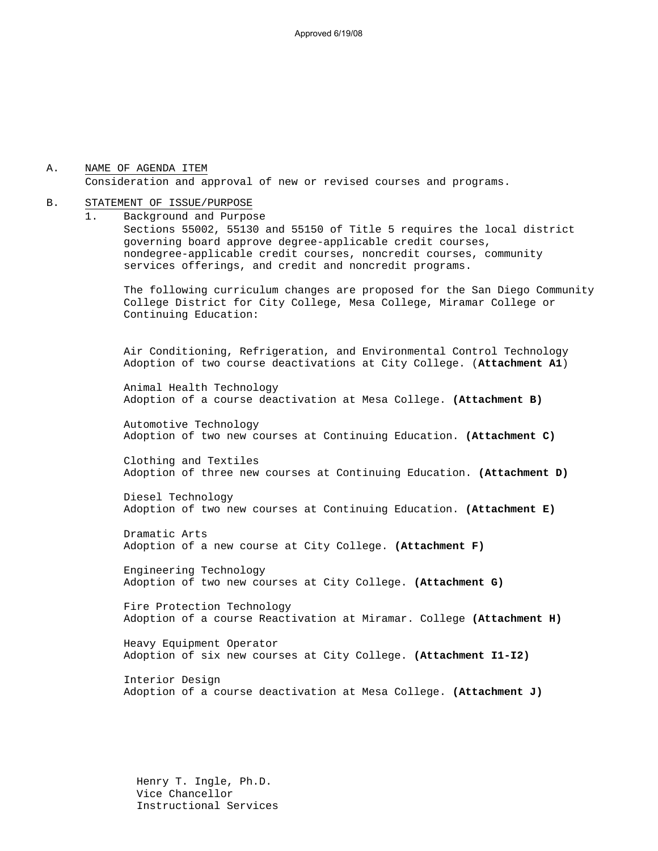#### A. NAME OF AGENDA ITEM Consideration and approval of new or revised courses and programs.

#### B. STATEMENT OF ISSUE/PURPOSE

1. Background and Purpose Sections 55002, 55130 and 55150 of Title 5 requires the local district governing board approve degree-applicable credit courses, nondegree-applicable credit courses, noncredit courses, community services offerings, and credit and noncredit programs.

The following curriculum changes are proposed for the San Diego Community College District for City College, Mesa College, Miramar College or Continuing Education:

 Air Conditioning, Refrigeration, and Environmental Control Technology Adoption of two course deactivations at City College. (**Attachment A1**)

Animal Health Technology Adoption of a course deactivation at Mesa College. **(Attachment B)**

Automotive Technology Adoption of two new courses at Continuing Education. **(Attachment C)**

Clothing and Textiles Adoption of three new courses at Continuing Education. **(Attachment D)**

Diesel Technology Adoption of two new courses at Continuing Education. **(Attachment E)**

Dramatic Arts Adoption of a new course at City College. **(Attachment F)**

Engineering Technology Adoption of two new courses at City College. **(Attachment G)**

Fire Protection Technology Adoption of a course Reactivation at Miramar. College **(Attachment H)**

Heavy Equipment Operator Adoption of six new courses at City College. **(Attachment I1-I2)**

Interior Design Adoption of a course deactivation at Mesa College. **(Attachment J)**

Henry T. Ingle, Ph.D. Vice Chancellor Instructional Services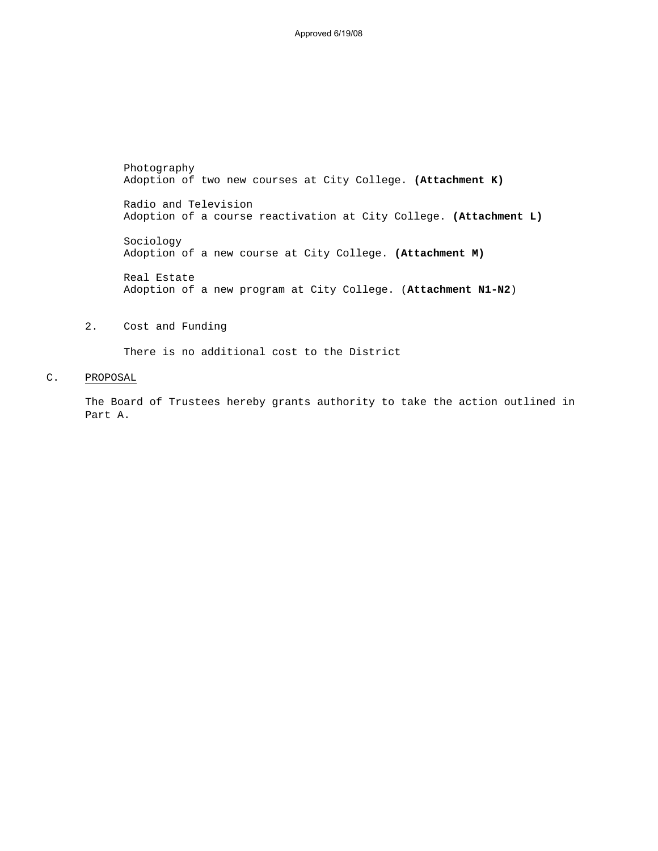Approved 6/19/08

Photography Adoption of two new courses at City College. **(Attachment K)** Radio and Television Adoption of a course reactivation at City College. **(Attachment L)** Sociology Adoption of a new course at City College. **(Attachment M)** Real Estate Adoption of a new program at City College. (**Attachment N1-N2**)

## 2. Cost and Funding

There is no additional cost to the District

#### C. PROPOSAL

The Board of Trustees hereby grants authority to take the action outlined in Part A.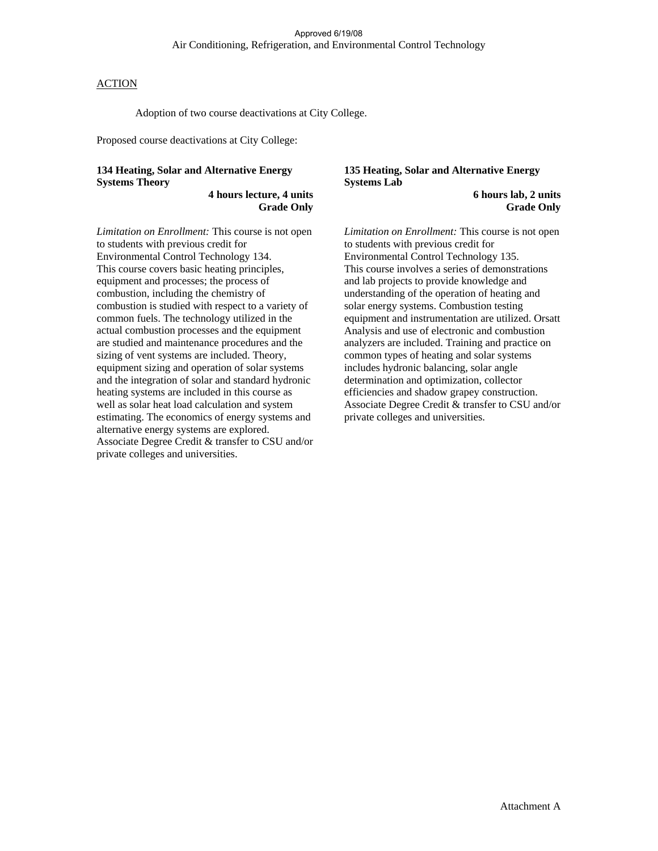Adoption of two course deactivations at City College.

Proposed course deactivations at City College:

## **134 Heating, Solar and Alternative Energy Systems Theory**

**4 hours lecture, 4 units Grade Only** 

*Limitation on Enrollment:* This course is not open to students with previous credit for Environmental Control Technology 134. This course covers basic heating principles, equipment and processes; the process of combustion, including the chemistry of combustion is studied with respect to a variety of common fuels. The technology utilized in the actual combustion processes and the equipment are studied and maintenance procedures and the sizing of vent systems are included. Theory, equipment sizing and operation of solar systems and the integration of solar and standard hydronic heating systems are included in this course as well as solar heat load calculation and system estimating. The economics of energy systems and alternative energy systems are explored. Associate Degree Credit & transfer to CSU and/or private colleges and universities.

#### **135 Heating, Solar and Alternative Energy Systems Lab**

 **6 hours lab, 2 units Grade Only** 

*Limitation on Enrollment:* This course is not open to students with previous credit for Environmental Control Technology 135. This course involves a series of demonstrations and lab projects to provide knowledge and understanding of the operation of heating and solar energy systems. Combustion testing equipment and instrumentation are utilized. Orsatt Analysis and use of electronic and combustion analyzers are included. Training and practice on common types of heating and solar systems includes hydronic balancing, solar angle determination and optimization, collector efficiencies and shadow grapey construction. Associate Degree Credit & transfer to CSU and/or private colleges and universities.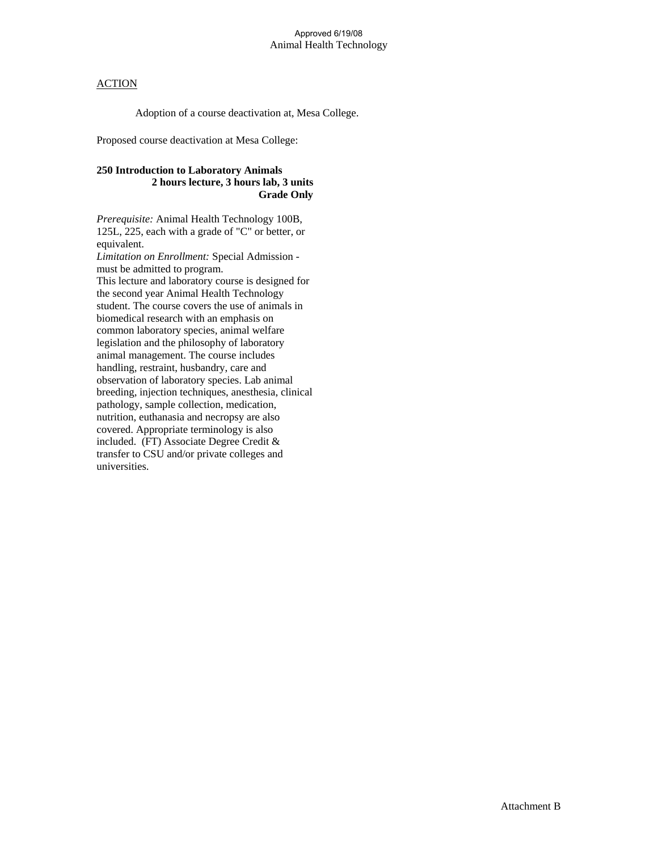Adoption of a course deactivation at, Mesa College.

Proposed course deactivation at Mesa College:

## **250 Introduction to Laboratory Animals 2 hours lecture, 3 hours lab, 3 units Grade Only**

*Prerequisite:* Animal Health Technology 100B, 125L, 225, each with a grade of "C" or better, or equivalent.

*Limitation on Enrollment:* Special Admission must be admitted to program. This lecture and laboratory course is designed for

the second year Animal Health Technology student. The course covers the use of animals in biomedical research with an emphasis on common laboratory species, animal welfare legislation and the philosophy of laboratory animal management. The course includes handling, restraint, husbandry, care and observation of laboratory species. Lab animal breeding, injection techniques, anesthesia, clinical pathology, sample collection, medication, nutrition, euthanasia and necropsy are also covered. Appropriate terminology is also included. (FT) Associate Degree Credit & transfer to CSU and/or private colleges and universities.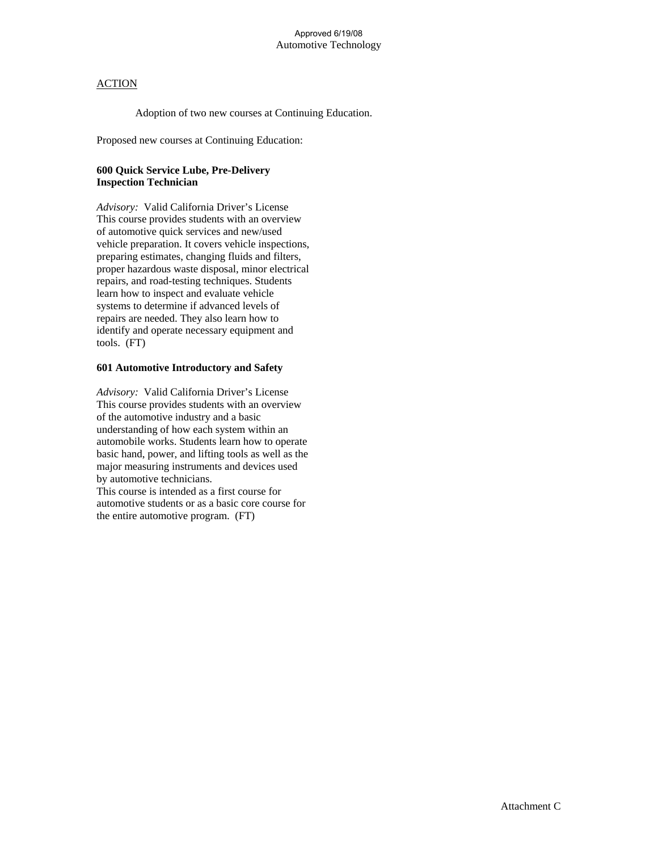Adoption of two new courses at Continuing Education.

Proposed new courses at Continuing Education:

## **600 Quick Service Lube, Pre-Delivery Inspection Technician**

*Advisory:* Valid California Driver's License This course provides students with an overview of automotive quick services and new/used vehicle preparation. It covers vehicle inspections, preparing estimates, changing fluids and filters, proper hazardous waste disposal, minor electrical repairs, and road-testing techniques. Students learn how to inspect and evaluate vehicle systems to determine if advanced levels of repairs are needed. They also learn how to identify and operate necessary equipment and tools. (FT)

### **601 Automotive Introductory and Safety**

*Advisory:* Valid California Driver's License This course provides students with an overview of the automotive industry and a basic understanding of how each system within an automobile works. Students learn how to operate basic hand, power, and lifting tools as well as the major measuring instruments and devices used by automotive technicians. This course is intended as a first course for automotive students or as a basic core course for the entire automotive program. (FT)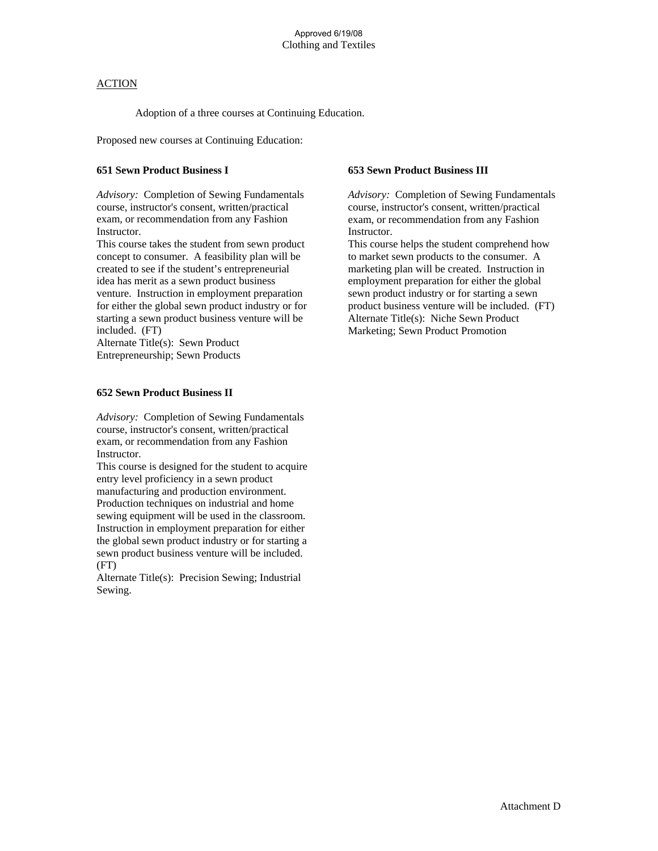Adoption of a three courses at Continuing Education.

Proposed new courses at Continuing Education:

### **651 Sewn Product Business I**

*Advisory:* Completion of Sewing Fundamentals course, instructor's consent, written/practical exam, or recommendation from any Fashion Instructor.

This course takes the student from sewn product concept to consumer. A feasibility plan will be created to see if the student's entrepreneurial idea has merit as a sewn product business venture. Instruction in employment preparation for either the global sewn product industry or for starting a sewn product business venture will be included. (FT)

Alternate Title(s): Sewn Product Entrepreneurship; Sewn Products

#### **652 Sewn Product Business II**

*Advisory:* Completion of Sewing Fundamentals course, instructor's consent, written/practical exam, or recommendation from any Fashion Instructor.

This course is designed for the student to acquire entry level proficiency in a sewn product manufacturing and production environment. Production techniques on industrial and home sewing equipment will be used in the classroom. Instruction in employment preparation for either the global sewn product industry or for starting a sewn product business venture will be included. (FT)

Alternate Title(s): Precision Sewing; Industrial Sewing.

#### **653 Sewn Product Business III**

*Advisory:* Completion of Sewing Fundamentals course, instructor's consent, written/practical exam, or recommendation from any Fashion Instructor.

This course helps the student comprehend how to market sewn products to the consumer. A marketing plan will be created. Instruction in employment preparation for either the global sewn product industry or for starting a sewn product business venture will be included. (FT) Alternate Title(s): Niche Sewn Product Marketing; Sewn Product Promotion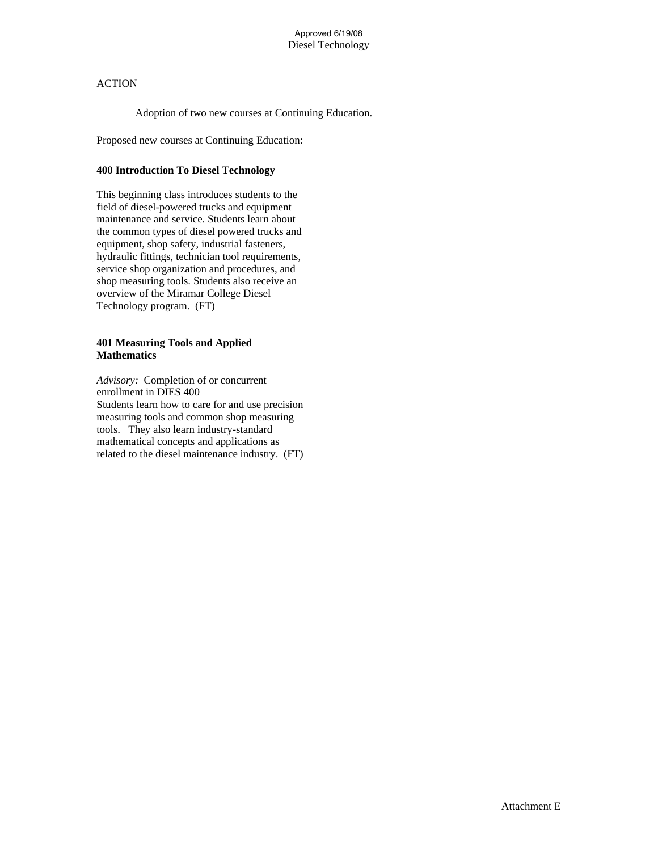Adoption of two new courses at Continuing Education.

Proposed new courses at Continuing Education:

#### **400 Introduction To Diesel Technology**

This beginning class introduces students to the field of diesel-powered trucks and equipment maintenance and service. Students learn about the common types of diesel powered trucks and equipment, shop safety, industrial fasteners, hydraulic fittings, technician tool requirements, service shop organization and procedures, and shop measuring tools. Students also receive an overview of the Miramar College Diesel Technology program. (FT)

#### **401 Measuring Tools and Applied Mathematics**

*Advisory:* Completion of or concurrent enrollment in DIES 400 Students learn how to care for and use precision measuring tools and common shop measuring tools. They also learn industry-standard mathematical concepts and applications as related to the diesel maintenance industry. (FT)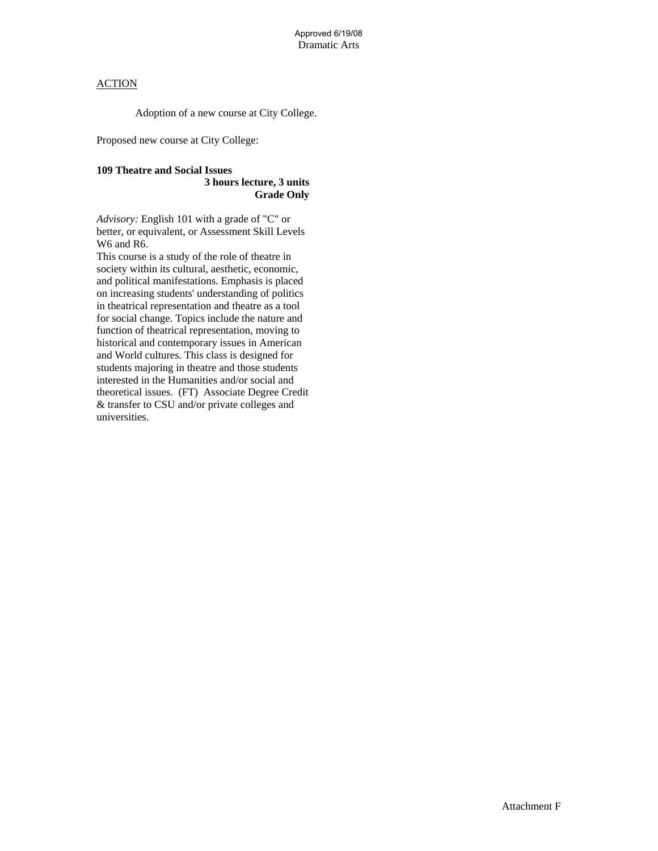Adoption of a new course at City College.

Proposed new course at City College:

# **109 Theatre and Social Issues**

#### **3 hours lecture, 3 units Grade Only**

*Advisory:* English 101 with a grade of "C" or better, or equivalent, or Assessment Skill Levels W6 and R6.

This course is a study of the role of theatre in society within its cultural, aesthetic, economic, and political manifestations. Emphasis is placed on increasing students' understanding of politics in theatrical representation and theatre as a tool for social change. Topics include the nature and function of theatrical representation, moving to historical and contemporary issues in American and World cultures. This class is designed for students majoring in theatre and those students interested in the Humanities and/or social and theoretical issues. (FT) Associate Degree Credit & transfer to CSU and/or private colleges and universities.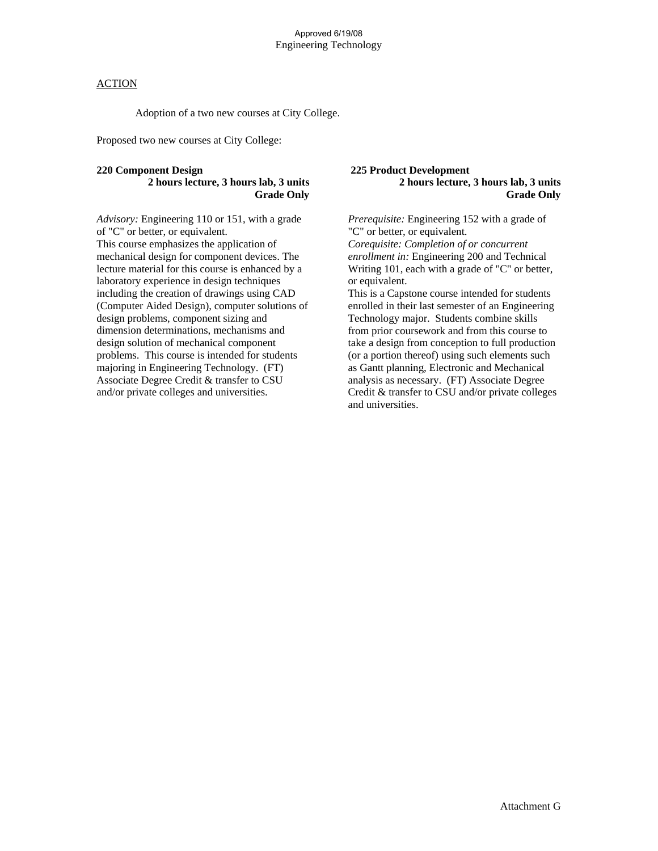Adoption of a two new courses at City College.

Proposed two new courses at City College:

#### **220 Component Design**

### **2 hours lecture, 3 hours lab, 3 units Grade Only**

*Advisory:* Engineering 110 or 151, with a grade of "C" or better, or equivalent. This course emphasizes the application of mechanical design for component devices. The lecture material for this course is enhanced by a laboratory experience in design techniques including the creation of drawings using CAD (Computer Aided Design), computer solutions of design problems, component sizing and dimension determinations, mechanisms and design solution of mechanical component problems. This course is intended for students majoring in Engineering Technology. (FT) Associate Degree Credit & transfer to CSU and/or private colleges and universities.

#### **225 Product Development 2 hours lecture, 3 hours lab, 3 units Grade Only**

*Prerequisite:* Engineering 152 with a grade of "C" or better, or equivalent.

*Corequisite: Completion of or concurrent enrollment in:* Engineering 200 and Technical Writing 101, each with a grade of "C" or better, or equivalent.

This is a Capstone course intended for students enrolled in their last semester of an Engineering Technology major. Students combine skills from prior coursework and from this course to take a design from conception to full production (or a portion thereof) using such elements such as Gantt planning, Electronic and Mechanical analysis as necessary. (FT) Associate Degree Credit & transfer to CSU and/or private colleges and universities.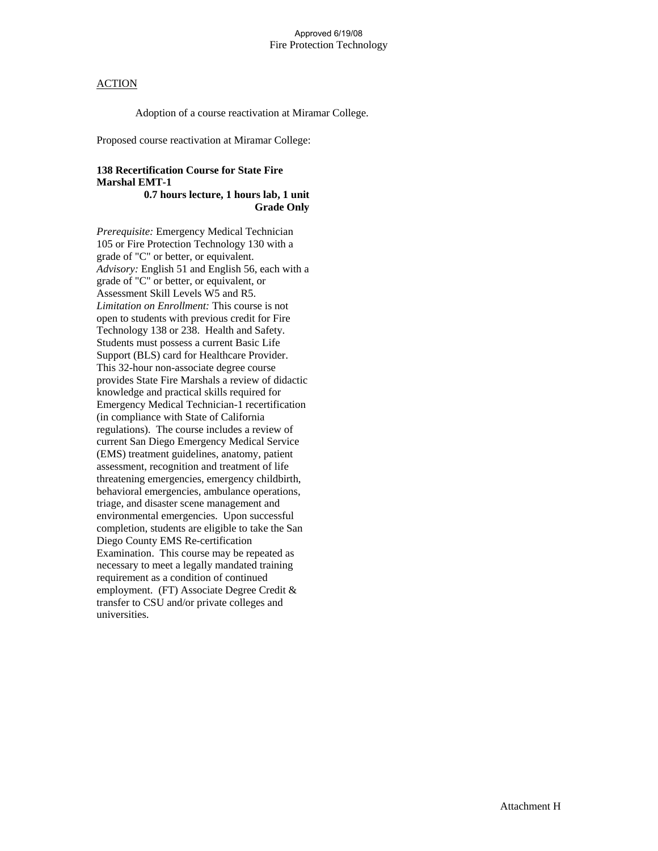Adoption of a course reactivation at Miramar College.

Proposed course reactivation at Miramar College:

# **138 Recertification Course for State Fire Marshal EMT-1**

 **0.7 hours lecture, 1 hours lab, 1 unit Grade Only** 

*Prerequisite:* Emergency Medical Technician 105 or Fire Protection Technology 130 with a grade of "C" or better, or equivalent. *Advisory:* English 51 and English 56, each with a grade of "C" or better, or equivalent, or Assessment Skill Levels W5 and R5. *Limitation on Enrollment:* This course is not open to students with previous credit for Fire Technology 138 or 238. Health and Safety. Students must possess a current Basic Life Support (BLS) card for Healthcare Provider. This 32-hour non-associate degree course provides State Fire Marshals a review of didactic knowledge and practical skills required for Emergency Medical Technician-1 recertification (in compliance with State of California regulations). The course includes a review of current San Diego Emergency Medical Service (EMS) treatment guidelines, anatomy, patient assessment, recognition and treatment of life threatening emergencies, emergency childbirth, behavioral emergencies, ambulance operations, triage, and disaster scene management and environmental emergencies. Upon successful completion, students are eligible to take the San Diego County EMS Re-certification Examination. This course may be repeated as necessary to meet a legally mandated training requirement as a condition of continued employment. (FT) Associate Degree Credit & transfer to CSU and/or private colleges and universities.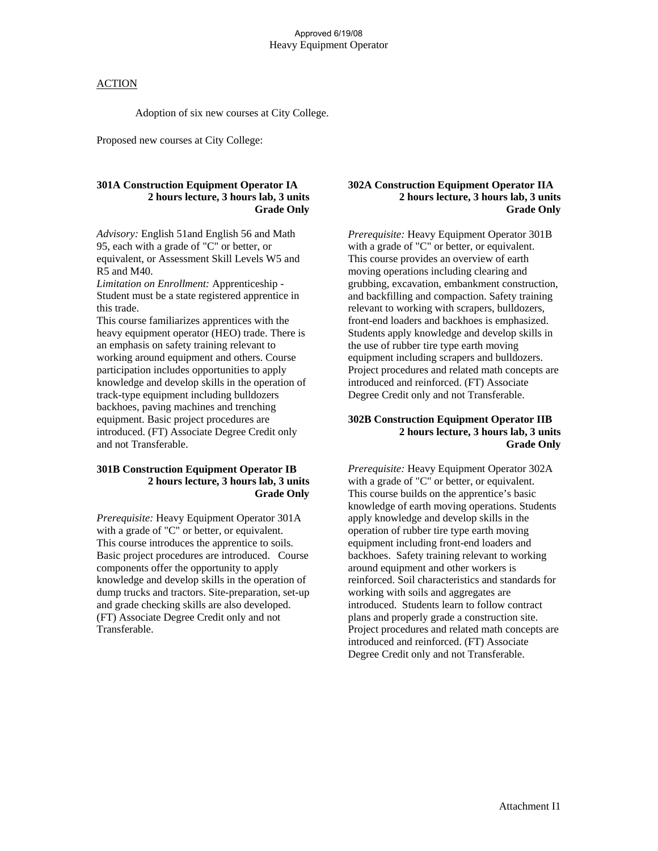Adoption of six new courses at City College.

Proposed new courses at City College:

### **301A Construction Equipment Operator IA 2 hours lecture, 3 hours lab, 3 units Grade Only**

*Advisory:* English 51and English 56 and Math 95, each with a grade of "C" or better, or equivalent, or Assessment Skill Levels W5 and R5 and M40.

*Limitation on Enrollment:* Apprenticeship - Student must be a state registered apprentice in this trade.

This course familiarizes apprentices with the heavy equipment operator (HEO) trade. There is an emphasis on safety training relevant to working around equipment and others. Course participation includes opportunities to apply knowledge and develop skills in the operation of track-type equipment including bulldozers backhoes, paving machines and trenching equipment. Basic project procedures are introduced. (FT) Associate Degree Credit only and not Transferable.

#### **301B Construction Equipment Operator IB 2 hours lecture, 3 hours lab, 3 units Grade Only**

*Prerequisite:* Heavy Equipment Operator 301A with a grade of "C" or better, or equivalent. This course introduces the apprentice to soils. Basic project procedures are introduced. Course components offer the opportunity to apply knowledge and develop skills in the operation of dump trucks and tractors. Site-preparation, set-up and grade checking skills are also developed. (FT) Associate Degree Credit only and not Transferable.

#### **302A Construction Equipment Operator IIA 2 hours lecture, 3 hours lab, 3 units Grade Only**

*Prerequisite:* Heavy Equipment Operator 301B with a grade of "C" or better, or equivalent. This course provides an overview of earth moving operations including clearing and grubbing, excavation, embankment construction, and backfilling and compaction. Safety training relevant to working with scrapers, bulldozers, front-end loaders and backhoes is emphasized. Students apply knowledge and develop skills in the use of rubber tire type earth moving equipment including scrapers and bulldozers. Project procedures and related math concepts are introduced and reinforced. (FT) Associate Degree Credit only and not Transferable.

### **302B Construction Equipment Operator IIB 2 hours lecture, 3 hours lab, 3 units Grade Only**

*Prerequisite:* Heavy Equipment Operator 302A with a grade of "C" or better, or equivalent. This course builds on the apprentice's basic knowledge of earth moving operations. Students apply knowledge and develop skills in the operation of rubber tire type earth moving equipment including front-end loaders and backhoes. Safety training relevant to working around equipment and other workers is reinforced. Soil characteristics and standards for working with soils and aggregates are introduced. Students learn to follow contract plans and properly grade a construction site. Project procedures and related math concepts are introduced and reinforced. (FT) Associate Degree Credit only and not Transferable.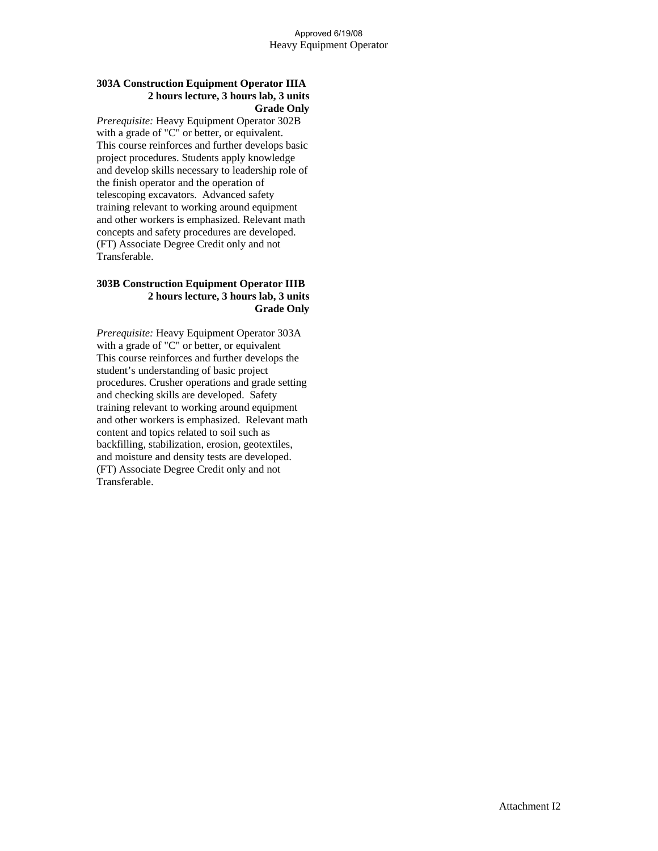## **303A Construction Equipment Operator IIIA 2 hours lecture, 3 hours lab, 3 units Grade Only**

*Prerequisite:* Heavy Equipment Operator 302B with a grade of "C" or better, or equivalent. This course reinforces and further develops basic project procedures. Students apply knowledge and develop skills necessary to leadership role of the finish operator and the operation of telescoping excavators. Advanced safety training relevant to working around equipment and other workers is emphasized. Relevant math concepts and safety procedures are developed. (FT) Associate Degree Credit only and not Transferable.

#### **303B Construction Equipment Operator IIIB 2 hours lecture, 3 hours lab, 3 units Grade Only**

*Prerequisite:* Heavy Equipment Operator 303A with a grade of "C" or better, or equivalent This course reinforces and further develops the student's understanding of basic project procedures. Crusher operations and grade setting and checking skills are developed. Safety training relevant to working around equipment and other workers is emphasized. Relevant math content and topics related to soil such as backfilling, stabilization, erosion, geotextiles, and moisture and density tests are developed. (FT) Associate Degree Credit only and not Transferable.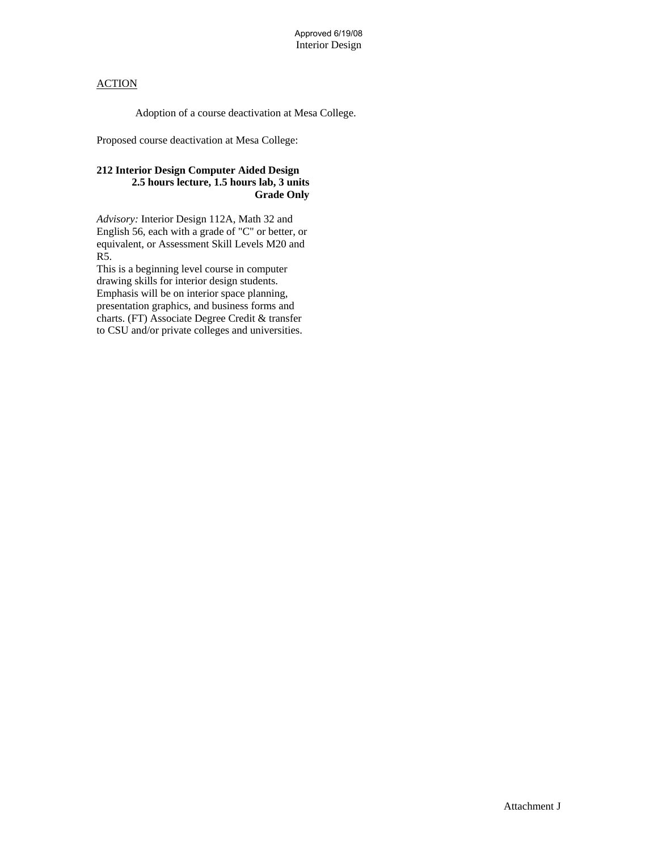Adoption of a course deactivation at Mesa College.

Proposed course deactivation at Mesa College:

# **212 Interior Design Computer Aided Design 2.5 hours lecture, 1.5 hours lab, 3 units Grade Only**

*Advisory:* Interior Design 112A, Math 32 and English 56, each with a grade of "C" or better, or equivalent, or Assessment Skill Levels M20 and R5.

This is a beginning level course in computer drawing skills for interior design students. Emphasis will be on interior space planning, presentation graphics, and business forms and charts. (FT) Associate Degree Credit & transfer to CSU and/or private colleges and universities.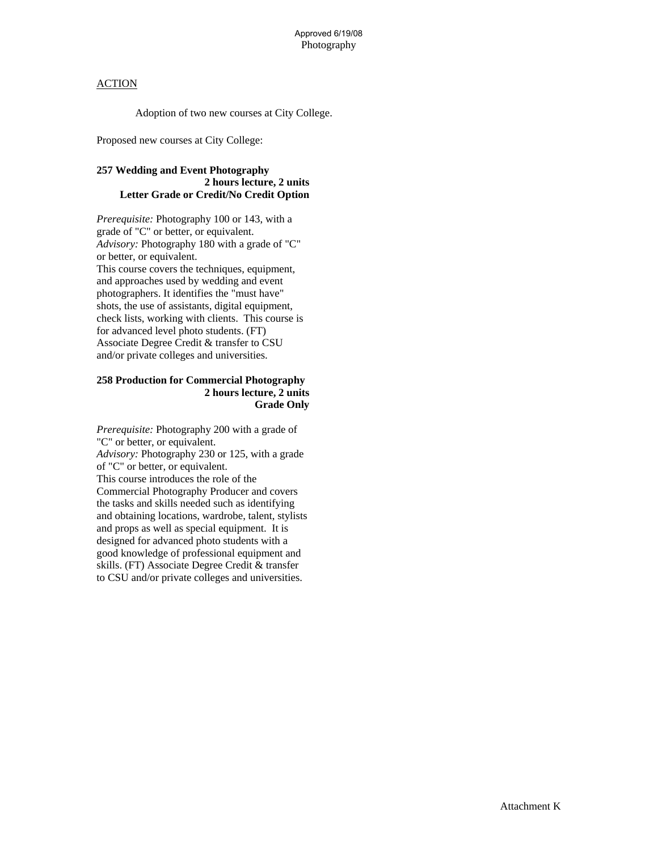Adoption of two new courses at City College.

Proposed new courses at City College:

# **257 Wedding and Event Photography 2 hours lecture, 2 units Letter Grade or Credit/No Credit Option**

*Prerequisite:* Photography 100 or 143, with a grade of "C" or better, or equivalent. *Advisory:* Photography 180 with a grade of "C" or better, or equivalent. This course covers the techniques, equipment, and approaches used by wedding and event photographers. It identifies the "must have" shots, the use of assistants, digital equipment, check lists, working with clients. This course is for advanced level photo students. (FT) Associate Degree Credit & transfer to CSU and/or private colleges and universities.

### **258 Production for Commercial Photography 2 hours lecture, 2 units Grade Only**

*Prerequisite:* Photography 200 with a grade of "C" or better, or equivalent. *Advisory:* Photography 230 or 125, with a grade of "C" or better, or equivalent. This course introduces the role of the Commercial Photography Producer and covers the tasks and skills needed such as identifying and obtaining locations, wardrobe, talent, stylists and props as well as special equipment. It is designed for advanced photo students with a good knowledge of professional equipment and skills. (FT) Associate Degree Credit & transfer to CSU and/or private colleges and universities.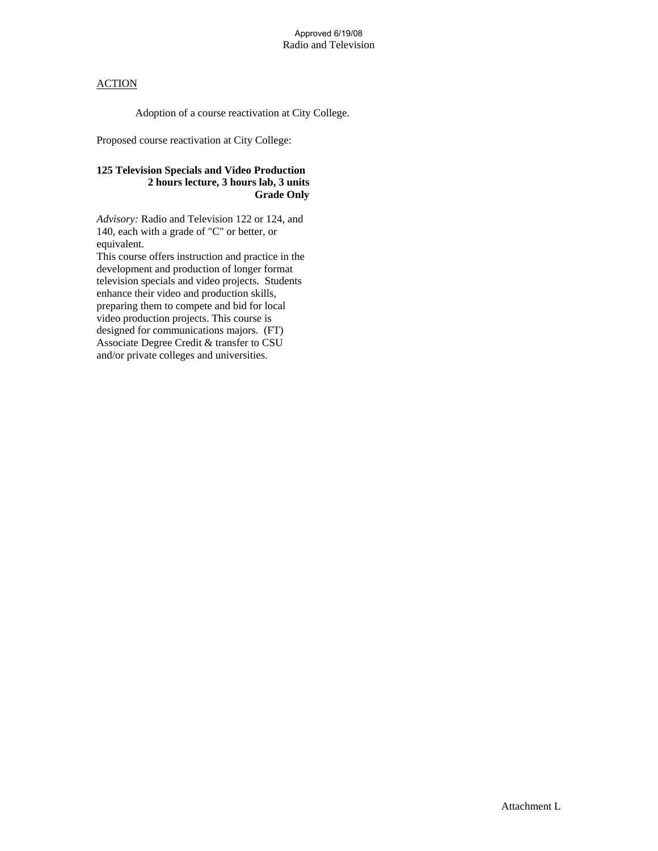Adoption of a course reactivation at City College.

Proposed course reactivation at City College:

# **125 Television Specials and Video Production 2 hours lecture, 3 hours lab, 3 units Grade Only**

*Advisory:* Radio and Television 122 or 124, and 140, each with a grade of "C" or better, or equivalent.

This course offers instruction and practice in the development and production of longer format television specials and video projects. Students enhance their video and production skills, preparing them to compete and bid for local video production projects. This course is designed for communications majors. (FT) Associate Degree Credit & transfer to CSU and/or private colleges and universities.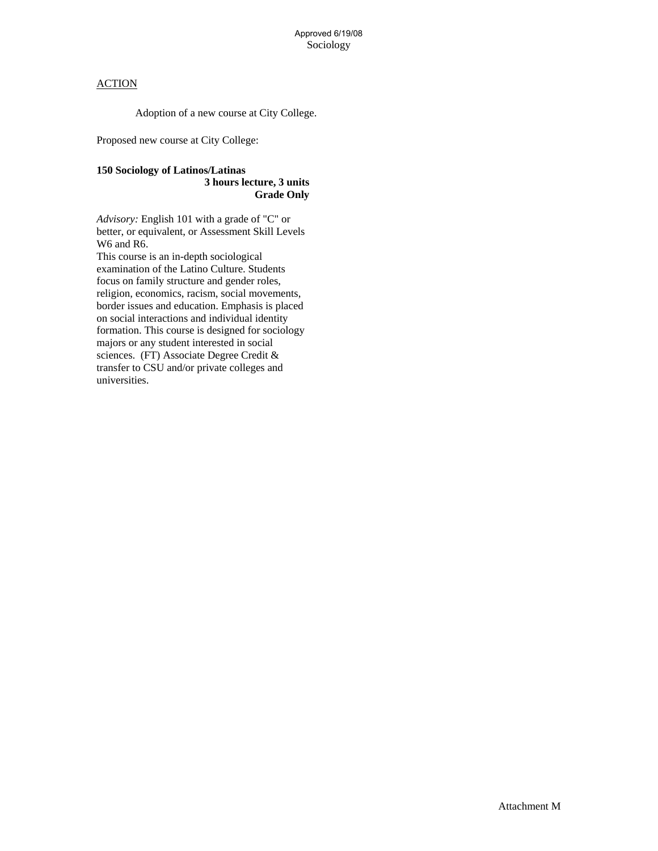Adoption of a new course at City College.

Proposed new course at City College:

#### **150 Sociology of Latinos/Latinas 3 hours lecture, 3 units Grade Only**

*Advisory:* English 101 with a grade of "C" or better, or equivalent, or Assessment Skill Levels W6 and R6.

This course is an in-depth sociological examination of the Latino Culture. Students focus on family structure and gender roles, religion, economics, racism, social movements, border issues and education. Emphasis is placed on social interactions and individual identity formation. This course is designed for sociology majors or any student interested in social sciences. (FT) Associate Degree Credit & transfer to CSU and/or private colleges and universities.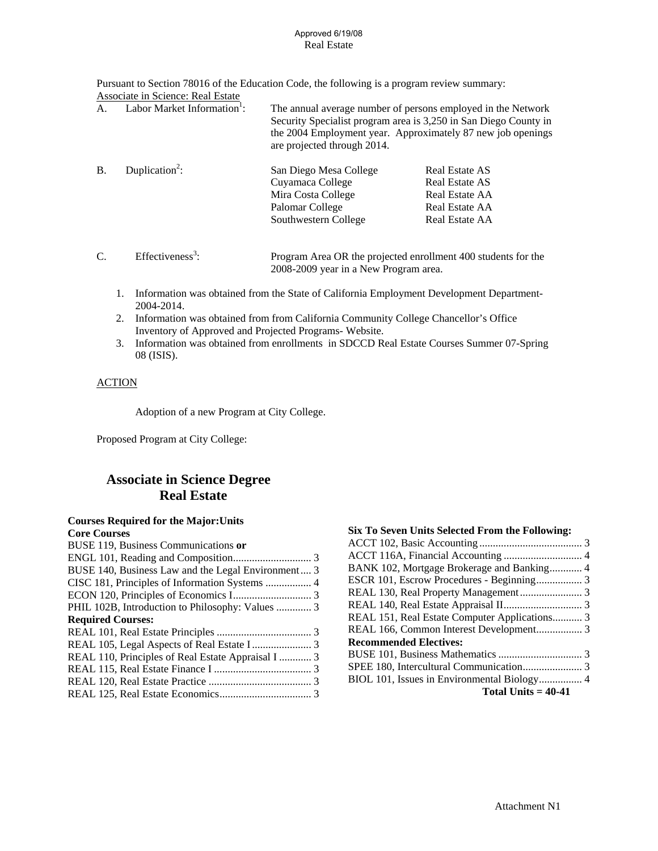#### Real Estate Approved 6/19/08

Pursuant to Section 78016 of the Education Code, the following is a program review summary:

|           | Associate in Science: Real Estate       |                                                                  |                                                                                                                                                                                                 |
|-----------|-----------------------------------------|------------------------------------------------------------------|-------------------------------------------------------------------------------------------------------------------------------------------------------------------------------------------------|
| А.        | Labor Market Information <sup>1</sup> : | are projected through 2014.                                      | The annual average number of persons employed in the Network<br>Security Specialist program area is 3,250 in San Diego County in<br>the 2004 Employment year. Approximately 87 new job openings |
| <b>B.</b> | Duplication <sup>2</sup> :              | San Diego Mesa College<br>Cuyamaca College<br>Mira Costa College | Real Estate AS<br>Real Estate AS<br>Real Estate AA                                                                                                                                              |
|           |                                         | Palomar College<br>Southwestern College                          | Real Estate AA<br>Real Estate AA                                                                                                                                                                |

- $C.$  Effectiveness<sup>3</sup>: : Program Area OR the projected enrollment 400 students for the 2008-2009 year in a New Program area.
	- 1. Information was obtained from the State of California Employment Development Department-2004-2014.
	- 2. Information was obtained from from California Community College Chancellor's Office Inventory of Approved and Projected Programs- Website.
	- 3. Information was obtained from enrollments in SDCCD Real Estate Courses Summer 07-Spring 08 (ISIS).

# **ACTION**

Adoption of a new Program at City College.

Proposed Program at City College:

# **Associate in Science Degree Real Estate**

#### **Courses Required for the Major:Units Core Courses**

| Core Courses                                       |  |
|----------------------------------------------------|--|
| BUSE 119, Business Communications or               |  |
|                                                    |  |
| BUSE 140, Business Law and the Legal Environment 3 |  |
| CISC 181, Principles of Information Systems  4     |  |
|                                                    |  |
| PHIL 102B, Introduction to Philosophy: Values  3   |  |
| <b>Required Courses:</b>                           |  |
|                                                    |  |
|                                                    |  |
| REAL 110, Principles of Real Estate Appraisal I  3 |  |
|                                                    |  |
|                                                    |  |
|                                                    |  |
|                                                    |  |

| ACCT 116A, Financial Accounting  4            |
|-----------------------------------------------|
| BANK 102, Mortgage Brokerage and Banking 4    |
|                                               |
|                                               |
|                                               |
| REAL 151, Real Estate Computer Applications 3 |
| REAL 166, Common Interest Development 3       |
|                                               |
|                                               |
|                                               |
|                                               |
|                                               |
|                                               |